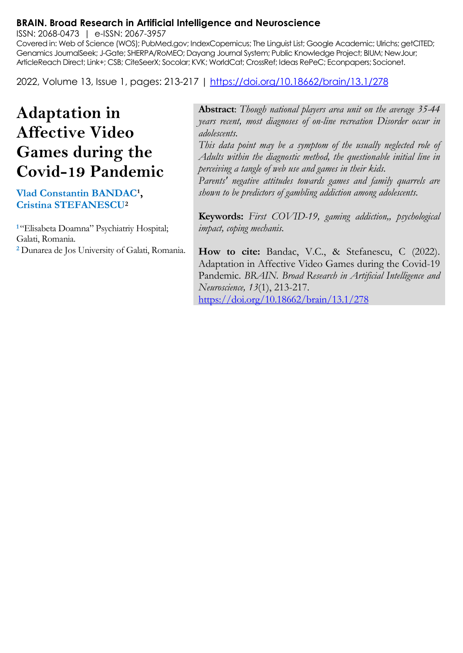#### **BRAIN. Broad Research in Artificial Intelligence and Neuroscience**

ISSN: 2068-0473 | e-ISSN: 2067-3957

Covered in: Web of Science (WOS); PubMed.gov; IndexCopernicus; The Linguist List; Google Academic; Ulrichs; getCITED; Genamics JournalSeek; J-Gate; SHERPA/RoMEO; Dayang Journal System; Public Knowledge Project; BIUM; NewJour; ArticleReach Direct; Link+; CSB; CiteSeerX; Socolar; KVK; WorldCat; CrossRef; Ideas RePeC; Econpapers; Socionet.

2022, Volume 13, Issue 1, pages: 213-217 |<https://doi.org/10.18662/brain/13.1/278>

# **Adaptation in Affective Video Games during the Covid-19 Pandemic**

#### **Vlad Constantin BANDAC<sup>1</sup>, Cristina STEFANESCU<sup>2</sup>**

**<sup>1</sup>**"Elisabeta Doamna" Psychiatriy Hospital; Galati, Romania. **<sup>2</sup>** Dunarea de Jos University of Galati, Romania.

**Abstract**: *Though national players area unit on the average 35-44 years recent, most diagnoses of on-line recreation Disorder occur in adolescents.*

*This data point may be a symptom of the usually neglected role of Adults within the diagnostic method, the questionable initial line in perceiving a tangle of web use and games in their kids.*

*Parents' negative attitudes towards games and family quarrels are shown to be predictors of gambling addiction among adolescents.*

**Keywords:** *First COVID-19, gaming addiction,, psychological impact, coping mechanis.*

**How to cite:** Bandac, V.C., & Stefanescu, C (2022). Adaptation in Affective Video Games during the Covid-19 Pandemic. *BRAIN. Broad Research in Artificial Intelligence and Neuroscience, 13*(1), 213-217. <https://doi.org/10.18662/brain/13.1/278>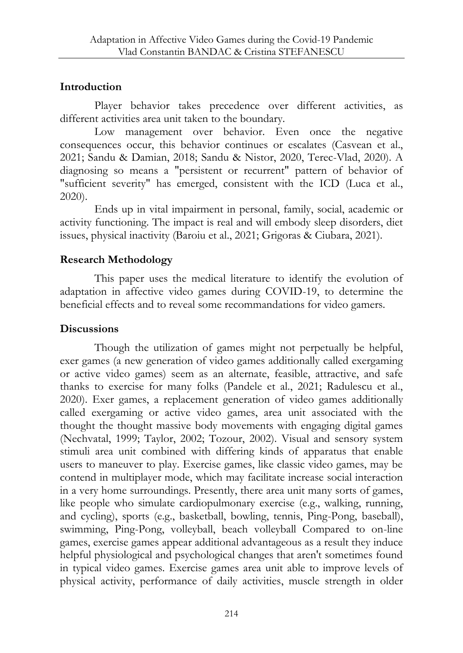# **Introduction**

Player behavior takes precedence over different activities, as different activities area unit taken to the boundary.

Low management over behavior. Even once the negative consequences occur, this behavior continues or escalates (Casvean et al., 2021; Sandu & Damian, 2018; Sandu & Nistor, 2020, Terec-Vlad, 2020). A diagnosing so means a "persistent or recurrent" pattern of behavior of "sufficient severity" has emerged, consistent with the ICD (Luca et al., 2020).

Ends up in vital impairment in personal, family, social, academic or activity functioning. The impact is real and will embody sleep disorders, diet issues, physical inactivity (Baroiu et al., 2021; Grigoras & Ciubara, 2021).

# **Research Methodology**

This paper uses the medical literature to identify the evolution of adaptation in affective video games during COVID-19, to determine the beneficial effects and to reveal some recommandations for video gamers.

# **Discussions**

Though the utilization of games might not perpetually be helpful, exer games (a new generation of video games additionally called exergaming or active video games) seem as an alternate, feasible, attractive, and safe thanks to exercise for many folks (Pandele et al., 2021; Radulescu et al., 2020). Exer games, a replacement generation of video games additionally called exergaming or active video games, area unit associated with the thought the thought massive body movements with engaging digital games (Nechvatal, 1999; Taylor, 2002; Tozour, 2002). Visual and sensory system stimuli area unit combined with differing kinds of apparatus that enable users to maneuver to play. Exercise games, like classic video games, may be contend in multiplayer mode, which may facilitate increase social interaction in a very home surroundings. Presently, there area unit many sorts of games, like people who simulate cardiopulmonary exercise (e.g., walking, running, and cycling), sports (e.g., basketball, bowling, tennis, Ping-Pong, baseball), swimming, Ping-Pong, volleyball, beach volleyball Compared to on-line games, exercise games appear additional advantageous as a result they induce helpful physiological and psychological changes that aren't sometimes found in typical video games. Exercise games area unit able to improve levels of physical activity, performance of daily activities, muscle strength in older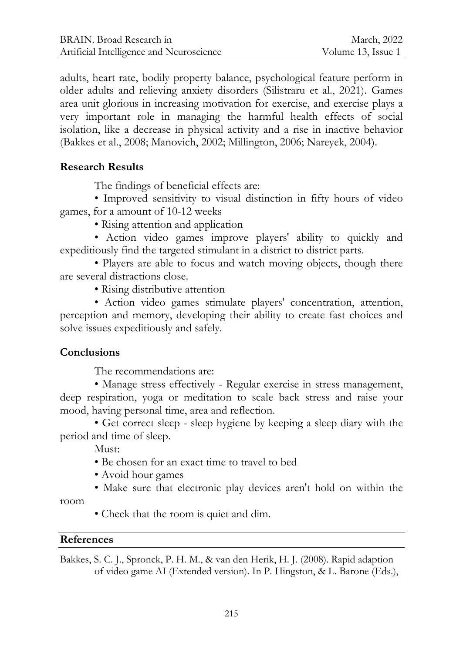adults, heart rate, bodily property balance, psychological feature perform in older adults and relieving anxiety disorders (Silistraru et al., 2021). Games area unit glorious in increasing motivation for exercise, and exercise plays a very important role in managing the harmful health effects of social isolation, like a decrease in physical activity and a rise in inactive behavior (Bakkes et al., 2008; Manovich, 2002; Millington, 2006; Nareyek, 2004).

## **Research Results**

The findings of beneficial effects are:

• Improved sensitivity to visual distinction in fifty hours of video games, for a amount of 10-12 weeks

• Rising attention and application

• Action video games improve players' ability to quickly and expeditiously find the targeted stimulant in a district to district parts.

• Players are able to focus and watch moving objects, though there are several distractions close.

• Rising distributive attention

• Action video games stimulate players' concentration, attention, perception and memory, developing their ability to create fast choices and solve issues expeditiously and safely.

## **Conclusions**

The recommendations are:

• Manage stress effectively - Regular exercise in stress management, deep respiration, yoga or meditation to scale back stress and raise your mood, having personal time, area and reflection.

• Get correct sleep - sleep hygiene by keeping a sleep diary with the period and time of sleep.

Must:

- Be chosen for an exact time to travel to bed
- Avoid hour games
- Make sure that electronic play devices aren't hold on within the

room

• Check that the room is quiet and dim.

## **References**

Bakkes, S. C. J., Spronck, P. H. M., & van den Herik, H. J. (2008). Rapid adaption of video game AI (Extended version). In P. Hingston, & L. Barone (Eds.),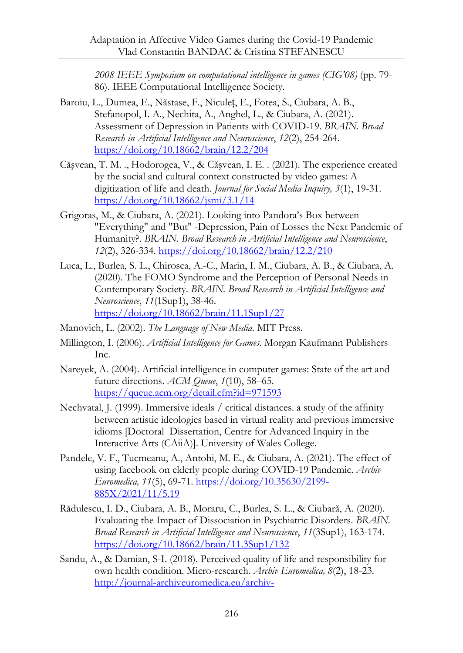*2008 IEEE Symposium on computational intelligence in games (CIG'08)* (pp. 79- 86). IEEE Computational Intelligence Society.

- Baroiu, L., Dumea, E., Năstase, F., Niculeț, E., Fotea, S., Ciubara, A. B., Stefanopol, I. A., Nechita, A., Anghel, L., & Ciubara, A. (2021). Assessment of Depression in Patients with COVID-19. *BRAIN. Broad Research in Artificial Intelligence and Neuroscience*, *12*(2), 254-264. <https://doi.org/10.18662/brain/12.2/204>
- Căşvean, T. M. ., Hodorogea, V., & Căşvean, I. E. . (2021). The experience created by the social and cultural context constructed by video games: A digitization of life and death. *Journal for Social Media Inquiry, 3*(1), 19-31. <https://doi.org/10.18662/jsmi/3.1/14>
- Grigoras, M., & Ciubara, A. (2021). Looking into Pandora's Box between "Everything" and "But" -Depression, Pain of Losses the Next Pandemic of Humanity?. *BRAIN. Broad Research in Artificial Intelligence and Neuroscience*, *12*(2), 326-334.<https://doi.org/10.18662/brain/12.2/210>
- Luca, L., Burlea, S. L., Chirosca, A.-C., Marin, I. M., Ciubara, A. B., & Ciubara, A. (2020). The FOMO Syndrome and the Perception of Personal Needs in Contemporary Society. *BRAIN. Broad Research in Artificial Intelligence and Neuroscience*, *11*(1Sup1), 38-46. <https://doi.org/10.18662/brain/11.1Sup1/27>
- Manovich, L. (2002). *The Language of New Media*. MIT Press.
- Millington, I. (2006). *Artificial Intelligence for Games*. Morgan Kaufmann Publishers Inc.
- Nareyek, A. (2004). Artificial intelligence in computer games: State of the art and future directions. *ACM Queue*, *1*(10), 58–65. <https://queue.acm.org/detail.cfm?id=971593>
- Nechvatal, J. (1999). Immersive ideals / critical distances. a study of the affinity between artistic ideologies based in virtual reality and previous immersive idioms [Doctoral Dissertation, Centre for Advanced Inquiry in the Interactive Arts (CAiiA)]. University of Wales College.
- [Pandele, V. F.](https://www.webofscience.com/wos/author/record/47200213), [Tucmeanu, A.](https://www.webofscience.com/wos/author/record/47204285)[, Antohi, M. E.](https://www.webofscience.com/wos/author/record/21961858), & [Ciubara, A.](https://www.webofscience.com/wos/author/record/32117932) (2021). The effect of using facebook on elderly people during COVID-19 Pandemic. *Archiv Euromedica, 11*(5), 69-71. [https://doi.org/10.35630/2199-](https://doi.org/10.35630/2199-885X/2021/11/5.19) [885X/2021/11/5.19](https://doi.org/10.35630/2199-885X/2021/11/5.19)
- Rădulescu, I. D., Ciubara, A. B., Moraru, C., Burlea, S. L., & Ciubară, A. (2020). Evaluating the Impact of Dissociation in Psychiatric Disorders. *BRAIN. Broad Research in Artificial Intelligence and Neuroscience*, *11*(3Sup1), 163-174. <https://doi.org/10.18662/brain/11.3Sup1/132>
- Sandu, A., & Damian, S-I. (2018). Perceived quality of life and responsibility for own health condition. Micro-research. *Archiv Euromedica, 8*(2), 18-23. [http://journal-archiveuromedica.eu/archiv-](http://journal-archiveuromedica.eu/archiv-euromedica_02_2018/PAGES_archiv_euromedica_02_2018_maket_27_12_2018-18_23.pdf)